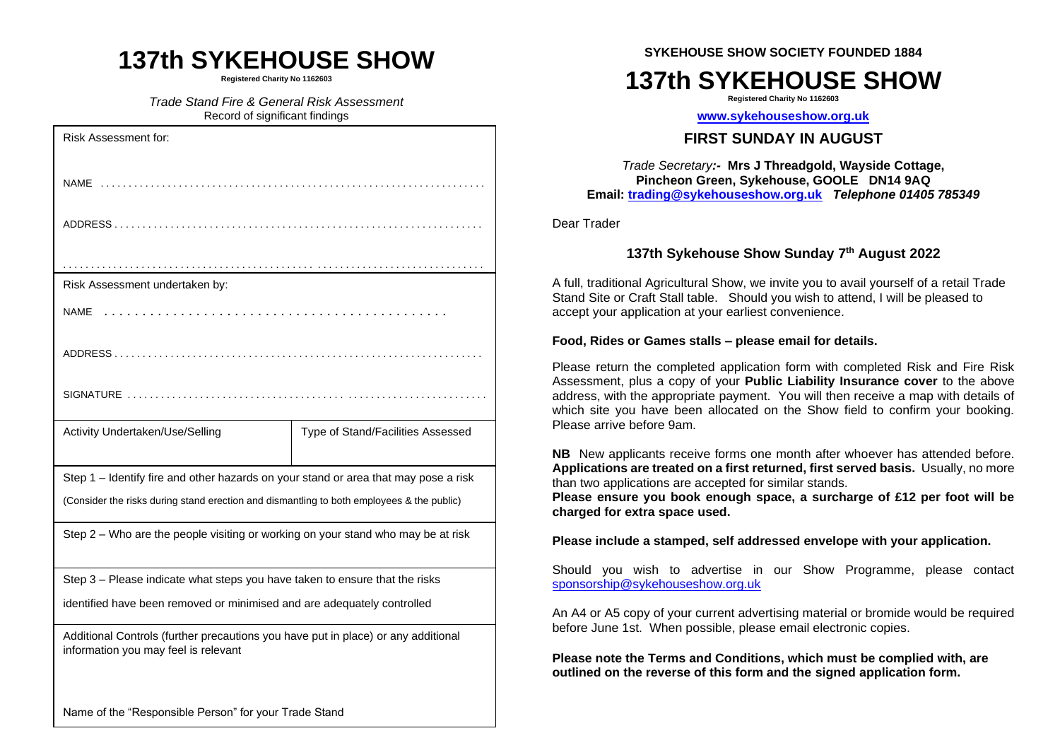## **137th SYKEHOUSE SHOW**

**Registered Charity No 1162603**

*Trade Stand Fire & General Risk Assessment* Record of significant findings

| <b>Risk Assessment for:</b>                                                                                               |                                   |
|---------------------------------------------------------------------------------------------------------------------------|-----------------------------------|
|                                                                                                                           |                                   |
|                                                                                                                           |                                   |
|                                                                                                                           |                                   |
| Risk Assessment undertaken by:                                                                                            |                                   |
| <b>NAME</b>                                                                                                               |                                   |
|                                                                                                                           |                                   |
|                                                                                                                           |                                   |
| Activity Undertaken/Use/Selling                                                                                           | Type of Stand/Facilities Assessed |
| Step 1 - Identify fire and other hazards on your stand or area that may pose a risk                                       |                                   |
| (Consider the risks during stand erection and dismantling to both employees & the public)                                 |                                   |
| Step 2 - Who are the people visiting or working on your stand who may be at risk                                          |                                   |
| Step 3 - Please indicate what steps you have taken to ensure that the risks                                               |                                   |
| identified have been removed or minimised and are adequately controlled                                                   |                                   |
| Additional Controls (further precautions you have put in place) or any additional<br>information you may feel is relevant |                                   |
|                                                                                                                           |                                   |

**SYKEHOUSE SHOW SOCIETY FOUNDED 1884**

# **137th SYKEHOUSE SHOW**

**Registered Charity No 1162603**

**[www.sykehouseshow.org.uk](http://www.sykehouseshow.org.uk/)**

### **FIRST SUNDAY IN AUGUST**

*Trade Secretary:-* **Mrs J Threadgold, Wayside Cottage, Pincheon Green, Sykehouse, GOOLE DN14 9AQ Email: [trading@sykehouseshow.org.uk](mailto:trading@sykehouseshow.org.uk)** *Telephone 01405 785349*

Dear Trader

### **137th Sykehouse Show Sunday 7 th August 2022**

A full, traditional Agricultural Show, we invite you to avail yourself of a retail Trade Stand Site or Craft Stall table. Should you wish to attend, I will be pleased to accept your application at your earliest convenience.

#### **Food, Rides or Games stalls – please email for details.**

Please return the completed application form with completed Risk and Fire Risk Assessment, plus a copy of your **Public Liability Insurance cover** to the above address, with the appropriate payment. You will then receive a map with details of which site you have been allocated on the Show field to confirm your booking. Please arrive before 9am.

**NB** New applicants receive forms one month after whoever has attended before. **Applications are treated on a first returned, first served basis.** Usually, no more than two applications are accepted for similar stands.

**Please ensure you book enough space, a surcharge of £12 per foot will be charged for extra space used.**

**Please include a stamped, self addressed envelope with your application.**

Should you wish to advertise in our Show Programme, please contact [sponsorship@sykehouseshow.org.uk](mailto:sponsorship@sykehouseshow.org.uk)

An A4 or A5 copy of your current advertising material or bromide would be required before June 1st. When possible, please email electronic copies.

**Please note the Terms and Conditions, which must be complied with, are outlined on the reverse of this form and the signed application form.**

Name of the "Responsible Person" for your Trade Stand